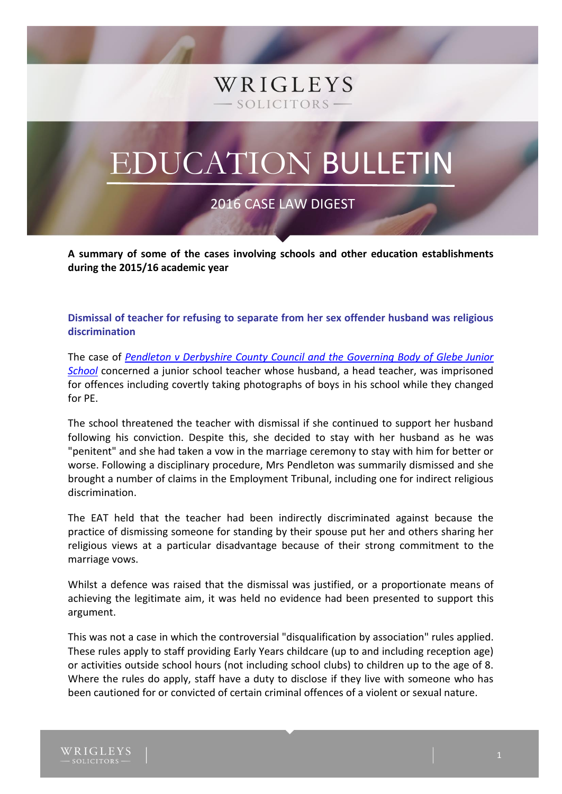# WRIGLEYS SOLICITORS-

# EDUCATION BULLETIN

2016 CASE LAW DIGEST

**A summary of some of the cases involving schools and other education establishments during the 2015/16 academic year**

**Dismissal of teacher for refusing to separate from her sex offender husband was religious discrimination**

The case of *[Pendleton v Derbyshire County Council and the Governing Body of Glebe Junior](http://www.bailii.org/uk/cases/UKEAT/2016/0238_15_2903.html)  [School](http://www.bailii.org/uk/cases/UKEAT/2016/0238_15_2903.html)* concerned a junior school teacher whose husband, a head teacher, was imprisoned for offences including covertly taking photographs of boys in his school while they changed for PE.

The school threatened the teacher with dismissal if she continued to support her husband following his conviction. Despite this, she decided to stay with her husband as he was "penitent" and she had taken a vow in the marriage ceremony to stay with him for better or worse. Following a disciplinary procedure, Mrs Pendleton was summarily dismissed and she brought a number of claims in the Employment Tribunal, including one for indirect religious discrimination.

The EAT held that the teacher had been indirectly discriminated against because the practice of dismissing someone for standing by their spouse put her and others sharing her religious views at a particular disadvantage because of their strong commitment to the marriage vows.

Whilst a defence was raised that the dismissal was justified, or a proportionate means of achieving the legitimate aim, it was held no evidence had been presented to support this argument.

This was not a case in which the controversial "disqualification by association" rules applied. These rules apply to staff providing Early Years childcare (up to and including reception age) or activities outside school hours (not including school clubs) to children up to the age of 8. Where the rules do apply, staff have a duty to disclose if they live with someone who has been cautioned for or convicted of certain criminal offences of a violent or sexual nature.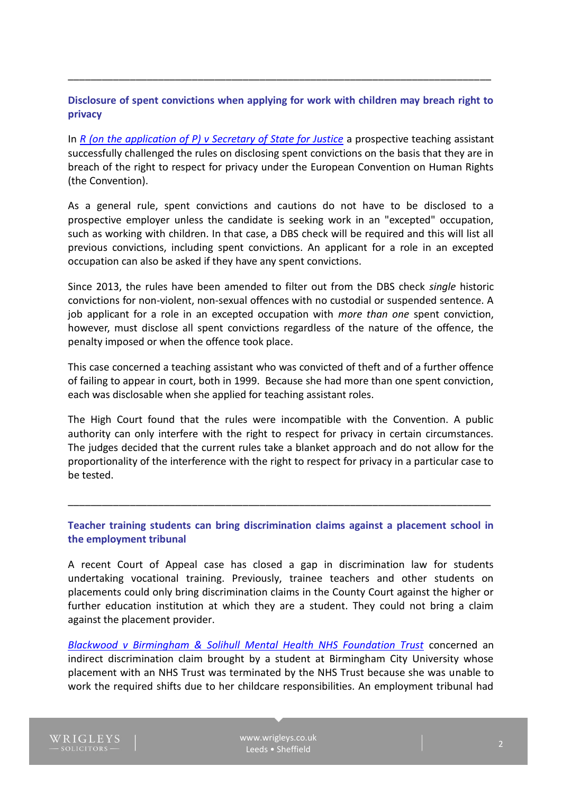## **Disclosure of spent convictions when applying for work with children may breach right to privacy**

\_\_\_\_\_\_\_\_\_\_\_\_\_\_\_\_\_\_\_\_\_\_\_\_\_\_\_\_\_\_\_\_\_\_\_\_\_\_\_\_\_\_\_\_\_\_\_\_\_\_\_\_\_\_\_\_\_\_\_\_\_\_\_\_\_\_\_\_\_\_\_\_\_\_\_

In *[R \(on the application of P\) v Secretary of State for Justice](http://www.bailii.org/ew/cases/EWHC/Admin/2016/89.html)* a prospective teaching assistant successfully challenged the rules on disclosing spent convictions on the basis that they are in breach of the right to respect for privacy under the European Convention on Human Rights (the Convention).

As a general rule, spent convictions and cautions do not have to be disclosed to a prospective employer unless the candidate is seeking work in an "excepted" occupation, such as working with children. In that case, a DBS check will be required and this will list all previous convictions, including spent convictions. An applicant for a role in an excepted occupation can also be asked if they have any spent convictions.

Since 2013, the rules have been amended to filter out from the DBS check *single* historic convictions for non-violent, non-sexual offences with no custodial or suspended sentence. A job applicant for a role in an excepted occupation with *more than one* spent conviction, however, must disclose all spent convictions regardless of the nature of the offence, the penalty imposed or when the offence took place.

This case concerned a teaching assistant who was convicted of theft and of a further offence of failing to appear in court, both in 1999. Because she had more than one spent conviction, each was disclosable when she applied for teaching assistant roles.

The High Court found that the rules were incompatible with the Convention. A public authority can only interfere with the right to respect for privacy in certain circumstances. The judges decided that the current rules take a blanket approach and do not allow for the proportionality of the interference with the right to respect for privacy in a particular case to be tested.

**Teacher training students can bring discrimination claims against a placement school in the employment tribunal**

\_\_\_\_\_\_\_\_\_\_\_\_\_\_\_\_\_\_\_\_\_\_\_\_\_\_\_\_\_\_\_\_\_\_\_\_\_\_\_\_\_\_\_\_\_\_\_\_\_\_\_\_\_\_\_\_\_\_\_\_\_\_\_\_\_\_\_\_\_\_\_\_\_\_\_

A recent Court of Appeal case has closed a gap in discrimination law for students undertaking vocational training. Previously, trainee teachers and other students on placements could only bring discrimination claims in the County Court against the higher or further education institution at which they are a student. They could not bring a claim against the placement provider.

*[Blackwood v Birmingham & Solihull Mental Health NHS Foundation Trust](http://www.bailii.org/ew/cases/EWCA/Civ/2016/607.html)* concerned an indirect discrimination claim brought by a student at Birmingham City University whose placement with an NHS Trust was terminated by the NHS Trust because she was unable to work the required shifts due to her childcare responsibilities. An employment tribunal had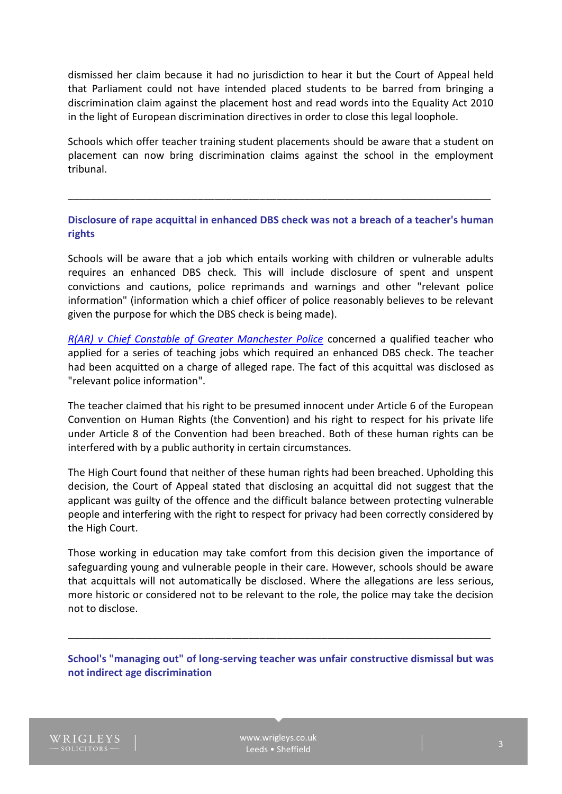dismissed her claim because it had no jurisdiction to hear it but the Court of Appeal held that Parliament could not have intended placed students to be barred from bringing a discrimination claim against the placement host and read words into the Equality Act 2010 in the light of European discrimination directives in order to close this legal loophole.

Schools which offer teacher training student placements should be aware that a student on placement can now bring discrimination claims against the school in the employment tribunal.

**Disclosure of rape acquittal in enhanced DBS check was not a breach of a teacher's human rights**

\_\_\_\_\_\_\_\_\_\_\_\_\_\_\_\_\_\_\_\_\_\_\_\_\_\_\_\_\_\_\_\_\_\_\_\_\_\_\_\_\_\_\_\_\_\_\_\_\_\_\_\_\_\_\_\_\_\_\_\_\_\_\_\_\_\_\_\_\_\_\_\_\_\_\_

Schools will be aware that a job which entails working with children or vulnerable adults requires an enhanced DBS check. This will include disclosure of spent and unspent convictions and cautions, police reprimands and warnings and other "relevant police information" (information which a chief officer of police reasonably believes to be relevant given the purpose for which the DBS check is being made).

*[R\(AR\) v Chief Constable of Greater Manchester Police](http://www.bailii.org/ew/cases/EWCA/Civ/2016/490.html)* concerned a qualified teacher who applied for a series of teaching jobs which required an enhanced DBS check. The teacher had been acquitted on a charge of alleged rape. The fact of this acquittal was disclosed as "relevant police information".

The teacher claimed that his right to be presumed innocent under Article 6 of the European Convention on Human Rights (the Convention) and his right to respect for his private life under Article 8 of the Convention had been breached. Both of these human rights can be interfered with by a public authority in certain circumstances.

The High Court found that neither of these human rights had been breached. Upholding this decision, the Court of Appeal stated that disclosing an acquittal did not suggest that the applicant was guilty of the offence and the difficult balance between protecting vulnerable people and interfering with the right to respect for privacy had been correctly considered by the High Court.

Those working in education may take comfort from this decision given the importance of safeguarding young and vulnerable people in their care. However, schools should be aware that acquittals will not automatically be disclosed. Where the allegations are less serious, more historic or considered not to be relevant to the role, the police may take the decision not to disclose.

### **School's "managing out" of long-serving teacher was unfair constructive dismissal but was not indirect age discrimination**

\_\_\_\_\_\_\_\_\_\_\_\_\_\_\_\_\_\_\_\_\_\_\_\_\_\_\_\_\_\_\_\_\_\_\_\_\_\_\_\_\_\_\_\_\_\_\_\_\_\_\_\_\_\_\_\_\_\_\_\_\_\_\_\_\_\_\_\_\_\_\_\_\_\_\_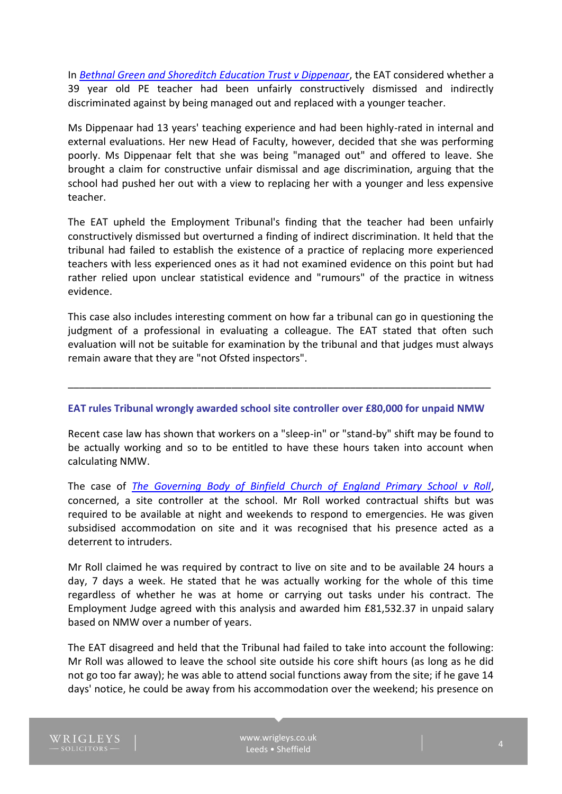In *[Bethnal Green and Shoreditch Education Trust v Dippenaar](http://www.bailii.org/cgi-bin/format.cgi?doc=/uk/cases/UKEAT/2015/0064_15_2110.html&query=(title:(+dippenaar+)))*, the EAT considered whether a 39 year old PE teacher had been unfairly constructively dismissed and indirectly discriminated against by being managed out and replaced with a younger teacher.

Ms Dippenaar had 13 years' teaching experience and had been highly-rated in internal and external evaluations. Her new Head of Faculty, however, decided that she was performing poorly. Ms Dippenaar felt that she was being "managed out" and offered to leave. She brought a claim for constructive unfair dismissal and age discrimination, arguing that the school had pushed her out with a view to replacing her with a younger and less expensive teacher.

The EAT upheld the Employment Tribunal's finding that the teacher had been unfairly constructively dismissed but overturned a finding of indirect discrimination. It held that the tribunal had failed to establish the existence of a practice of replacing more experienced teachers with less experienced ones as it had not examined evidence on this point but had rather relied upon unclear statistical evidence and "rumours" of the practice in witness evidence.

This case also includes interesting comment on how far a tribunal can go in questioning the judgment of a professional in evaluating a colleague. The EAT stated that often such evaluation will not be suitable for examination by the tribunal and that judges must always remain aware that they are "not Ofsted inspectors".

#### **EAT rules Tribunal wrongly awarded school site controller over £80,000 for unpaid NMW**

\_\_\_\_\_\_\_\_\_\_\_\_\_\_\_\_\_\_\_\_\_\_\_\_\_\_\_\_\_\_\_\_\_\_\_\_\_\_\_\_\_\_\_\_\_\_\_\_\_\_\_\_\_\_\_\_\_\_\_\_\_\_\_\_\_\_\_\_\_\_\_\_\_\_\_

Recent case law has shown that workers on a "sleep-in" or "stand-by" shift may be found to be actually working and so to be entitled to have these hours taken into account when calculating NMW.

The case of *[The Governing Body of Binfield Church of England Primary School v Roll](http://www.bailii.org/cgi-bin/format.cgi?doc=/uk/cases/UKEAT/2016/0129_15_1801.html&query=%28title:%28+binfield+%29%29)*, concerned, a site controller at the school. Mr Roll worked contractual shifts but was required to be available at night and weekends to respond to emergencies. He was given subsidised accommodation on site and it was recognised that his presence acted as a deterrent to intruders.

Mr Roll claimed he was required by contract to live on site and to be available 24 hours a day, 7 days a week. He stated that he was actually working for the whole of this time regardless of whether he was at home or carrying out tasks under his contract. The Employment Judge agreed with this analysis and awarded him £81,532.37 in unpaid salary based on NMW over a number of years.

The EAT disagreed and held that the Tribunal had failed to take into account the following: Mr Roll was allowed to leave the school site outside his core shift hours (as long as he did not go too far away); he was able to attend social functions away from the site; if he gave 14 days' notice, he could be away from his accommodation over the weekend; his presence on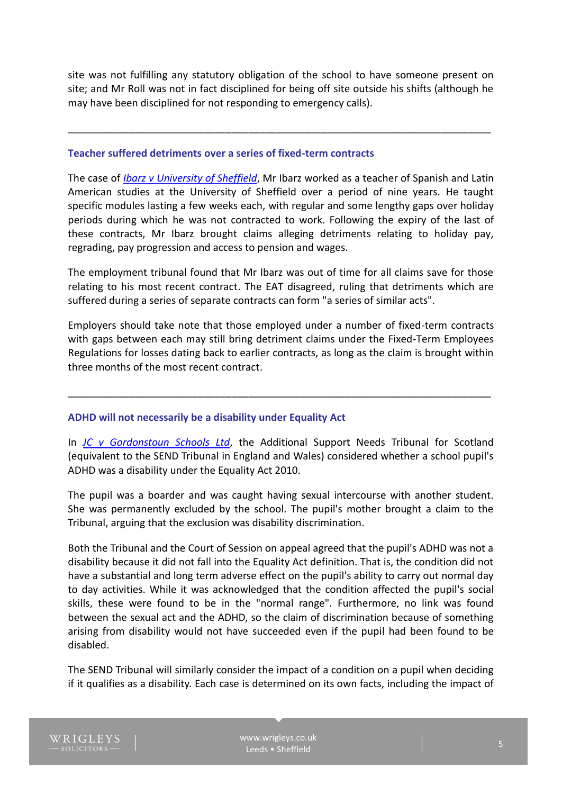site was not fulfilling any statutory obligation of the school to have someone present on site; and Mr Roll was not in fact disciplined for being off site outside his shifts (although he may have been disciplined for not responding to emergency calls).

\_\_\_\_\_\_\_\_\_\_\_\_\_\_\_\_\_\_\_\_\_\_\_\_\_\_\_\_\_\_\_\_\_\_\_\_\_\_\_\_\_\_\_\_\_\_\_\_\_\_\_\_\_\_\_\_\_\_\_\_\_\_\_\_\_\_\_\_\_\_\_\_\_\_\_

#### **Teacher suffered detriments over a series of fixed-term contracts**

The case of *[Ibarz v University of Sheffield](http://www.bailii.org/uk/cases/UKEAT/2015/0018_15_2306.html)*, Mr Ibarz worked as a teacher of Spanish and Latin American studies at the University of Sheffield over a period of nine years. He taught specific modules lasting a few weeks each, with regular and some lengthy gaps over holiday periods during which he was not contracted to work. Following the expiry of the last of these contracts, Mr Ibarz brought claims alleging detriments relating to holiday pay, regrading, pay progression and access to pension and wages.

The employment tribunal found that Mr Ibarz was out of time for all claims save for those relating to his most recent contract. The EAT disagreed, ruling that detriments which are suffered during a series of separate contracts can form "a series of similar acts".

Employers should take note that those employed under a number of fixed-term contracts with gaps between each may still bring detriment claims under the Fixed-Term Employees Regulations for losses dating back to earlier contracts, as long as the claim is brought within three months of the most recent contract.

\_\_\_\_\_\_\_\_\_\_\_\_\_\_\_\_\_\_\_\_\_\_\_\_\_\_\_\_\_\_\_\_\_\_\_\_\_\_\_\_\_\_\_\_\_\_\_\_\_\_\_\_\_\_\_\_\_\_\_\_\_\_\_\_\_\_\_\_\_\_\_\_\_\_\_

#### **ADHD will not necessarily be a disability under Equality Act**

In *[JC v Gordonstoun Schools Ltd](http://www.bailii.org/scot/cases/ScotCS/2016/%5b2016%5dCSIH32.html)*, the Additional Support Needs Tribunal for Scotland (equivalent to the SEND Tribunal in England and Wales) considered whether a school pupil's ADHD was a disability under the Equality Act 2010.

The pupil was a boarder and was caught having sexual intercourse with another student. She was permanently excluded by the school. The pupil's mother brought a claim to the Tribunal, arguing that the exclusion was disability discrimination.

Both the Tribunal and the Court of Session on appeal agreed that the pupil's ADHD was not a disability because it did not fall into the Equality Act definition. That is, the condition did not have a substantial and long term adverse effect on the pupil's ability to carry out normal day to day activities. While it was acknowledged that the condition affected the pupil's social skills, these were found to be in the "normal range". Furthermore, no link was found between the sexual act and the ADHD, so the claim of discrimination because of something arising from disability would not have succeeded even if the pupil had been found to be disabled.

The SEND Tribunal will similarly consider the impact of a condition on a pupil when deciding if it qualifies as a disability. Each case is determined on its own facts, including the impact of